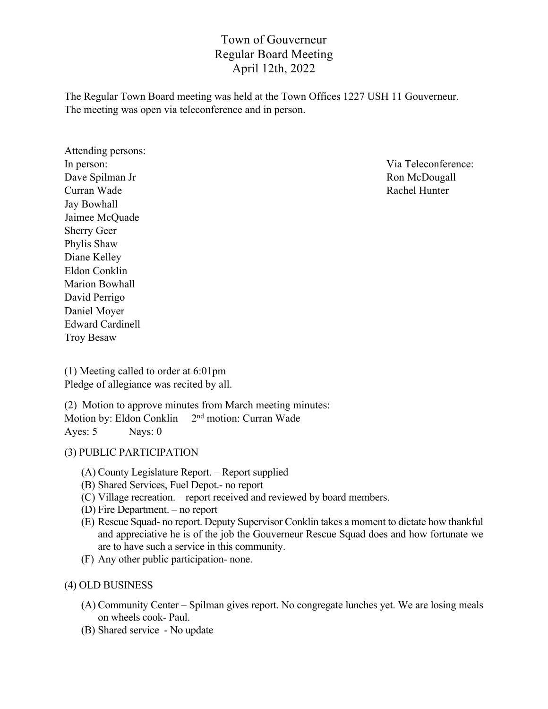# Town of Gouverneur Regular Board Meeting April 12th, 2022

The Regular Town Board meeting was held at the Town Offices 1227 USH 11 Gouverneur. The meeting was open via teleconference and in person.

Attending persons: Dave Spilman Jr Ron McDougall Curran Wade **Rachel Hunter** Rachel Hunter Jay Bowhall Jaimee McQuade Sherry Geer Phylis Shaw Diane Kelley Eldon Conklin Marion Bowhall David Perrigo Daniel Moyer Edward Cardinell Troy Besaw

In person: Via Teleconference:

(1) Meeting called to order at 6:01pm Pledge of allegiance was recited by all.

(2) Motion to approve minutes from March meeting minutes: Motion by: Eldon Conklin 2<sup>nd</sup> motion: Curran Wade Ayes: 5 Nays: 0

## (3) PUBLIC PARTICIPATION

- (A) County Legislature Report. Report supplied
- (B) Shared Services, Fuel Depot.- no report
- (C) Village recreation. report received and reviewed by board members.
- (D) Fire Department. no report
- (E) Rescue Squad- no report. Deputy Supervisor Conklin takes a moment to dictate how thankful and appreciative he is of the job the Gouverneur Rescue Squad does and how fortunate we are to have such a service in this community.
- (F) Any other public participation- none.

## (4) OLD BUSINESS

- (A) Community Center Spilman gives report. No congregate lunches yet. We are losing meals on wheels cook- Paul.
- (B) Shared service No update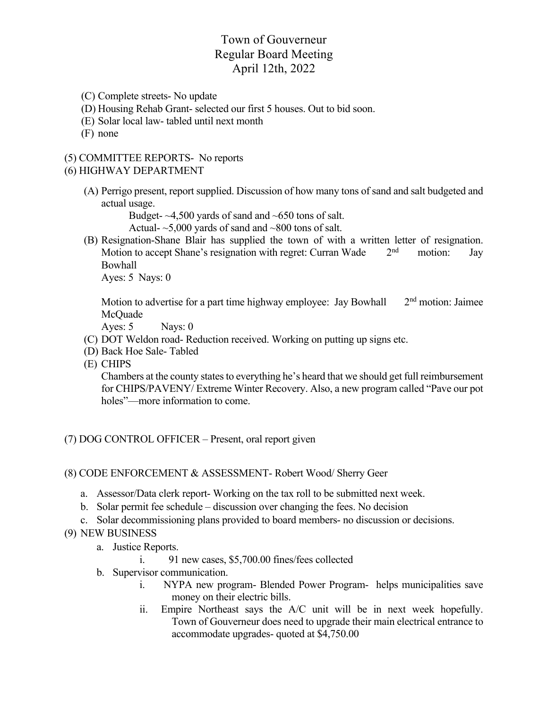# Town of Gouverneur Regular Board Meeting April 12th, 2022

- (C) Complete streets- No update
- (D) Housing Rehab Grant- selected our first 5 houses. Out to bid soon.
- (E) Solar local law- tabled until next month
- (F) none

#### (5) COMMITTEE REPORTS- No reports

#### (6) HIGHWAY DEPARTMENT

(A) Perrigo present, report supplied. Discussion of how many tons of sand and salt budgeted and actual usage.

Budget- $\sim$ 4,500 yards of sand and  $\sim$ 650 tons of salt.

Actual-  $\sim$ 5,000 yards of sand and  $\sim$ 800 tons of salt.

(B) Resignation-Shane Blair has supplied the town of with a written letter of resignation. Motion to accept Shane's resignation with regret: Curran Wade  $2<sup>nd</sup>$  motion: Jay Bowhall

Ayes: 5 Nays: 0

Motion to advertise for a part time highway employee: Jay Bowhall  $2<sup>nd</sup>$  motion: Jaimee McQuade

Ayes:  $5$  Nays:  $0$ 

- (C) DOT Weldon road- Reduction received. Working on putting up signs etc.
- (D) Back Hoe Sale- Tabled
- (E) CHIPS

Chambers at the county states to everything he's heard that we should get full reimbursement for CHIPS/PAVENY/ Extreme Winter Recovery. Also, a new program called "Pave our pot holes"—more information to come.

(7) DOG CONTROL OFFICER – Present, oral report given

#### (8) CODE ENFORCEMENT & ASSESSMENT- Robert Wood/ Sherry Geer

- a. Assessor/Data clerk report- Working on the tax roll to be submitted next week.
- b. Solar permit fee schedule discussion over changing the fees. No decision
- c. Solar decommissioning plans provided to board members- no discussion or decisions.

### (9) NEW BUSINESS

- a. Justice Reports.
	- i. 91 new cases, \$5,700.00 fines/fees collected
- b. Supervisor communication.
	- i. NYPA new program- Blended Power Program- helps municipalities save money on their electric bills.
	- ii. Empire Northeast says the A/C unit will be in next week hopefully. Town of Gouverneur does need to upgrade their main electrical entrance to accommodate upgrades- quoted at \$4,750.00